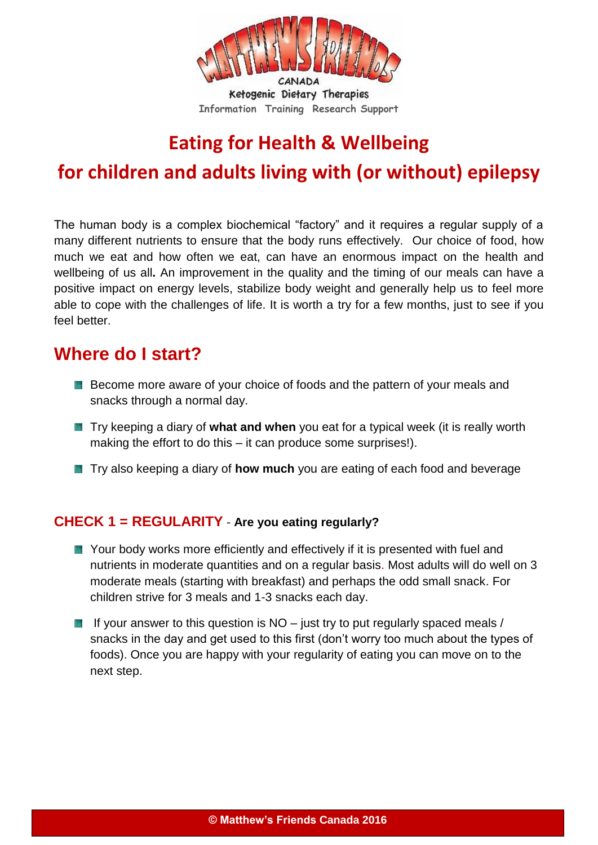

# **Eating for Health & Wellbeing**

# **for children and adults living with (or without) epilepsy**

The human body is a complex biochemical "factory" and it requires a regular supply of a many different nutrients to ensure that the body runs effectively. Our choice of food, how much we eat and how often we eat, can have an enormous impact on the health and wellbeing of us all**.** An improvement in the quality and the timing of our meals can have a positive impact on energy levels, stabilize body weight and generally help us to feel more able to cope with the challenges of life. It is worth a try for a few months, just to see if you feel better.

## **Where do I start?**

- Become more aware of your choice of foods and the pattern of your meals and snacks through a normal day.
- **T** Try keeping a diary of **what and when** you eat for a typical week (it is really worth making the effort to do this – it can produce some surprises!).
- **T** Try also keeping a diary of **how much** you are eating of each food and beverage

## **CHECK 1 = REGULARITY** - **Are you eating regularly?**

- Your body works more efficiently and effectively if it is presented with fuel and nutrients in moderate quantities and on a regular basis. Most adults will do well on 3 moderate meals (starting with breakfast) and perhaps the odd small snack. For children strive for 3 meals and 1-3 snacks each day.
- If your answer to this question is  $NO -$  just try to put regularly spaced meals / snacks in the day and get used to this first (don't worry too much about the types of foods). Once you are happy with your regularity of eating you can move on to the next step.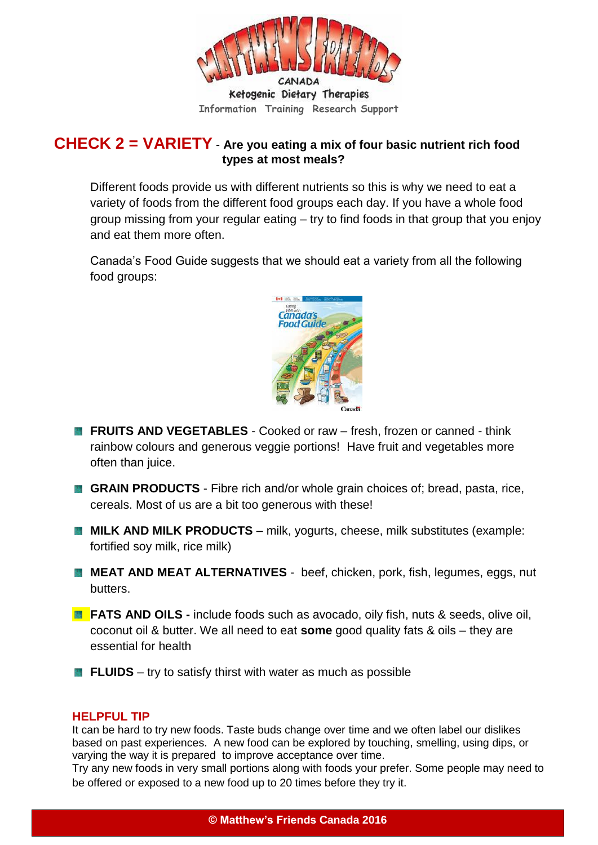

## **CHECK 2 = VARIETY** - **Are you eating a mix of four basic nutrient rich food types at most meals?**

Different foods provide us with different nutrients so this is why we need to eat a variety of foods from the different food groups each day. If you have a whole food group missing from your regular eating – try to find foods in that group that you enjoy and eat them more often.

Canada's Food Guide suggests that we should eat a variety from all the following food groups:



- **FRUITS AND VEGETABLES** Cooked or raw fresh, frozen or canned think rainbow colours and generous veggie portions! Have fruit and vegetables more often than juice.
- **GRAIN PRODUCTS** Fibre rich and/or whole grain choices of; bread, pasta, rice, cereals. Most of us are a bit too generous with these!
- **MILK AND MILK PRODUCTS** milk, yogurts, cheese, milk substitutes (example: fortified soy milk, rice milk)
- **MEAT AND MEAT ALTERNATIVES** beef, chicken, pork, fish, legumes, eggs, nut butters.
- **FATS AND OILS** include foods such as avocado, oily fish, nuts & seeds, olive oil, coconut oil & butter. We all need to eat **some** good quality fats & oils – they are essential for health
- **FLUIDS** try to satisfy thirst with water as much as possible

#### **HELPFUL TIP**

It can be hard to try new foods. Taste buds change over time and we often label our dislikes based on past experiences. A new food can be explored by touching, smelling, using dips, or varying the way it is prepared to improve acceptance over time.

Try any new foods in very small portions along with foods your prefer. Some people may need to be offered or exposed to a new food up to 20 times before they try it.

**© Matthew's Friends Canada 2016**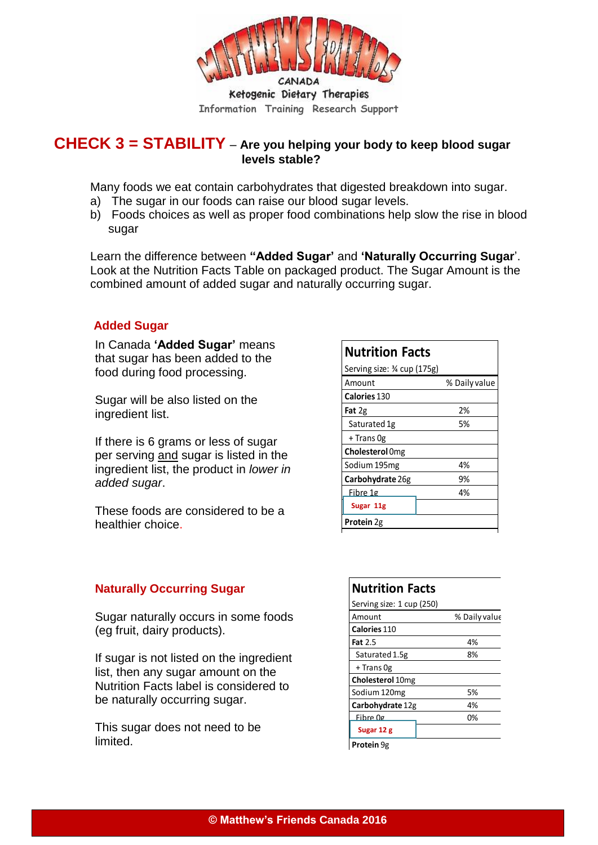

## **CHECK 3 = STABILITY** – **Are you helping your body to keep blood sugar levels stable?**

Many foods we eat contain carbohydrates that digested breakdown into sugar.

- a) The sugar in our foods can raise our blood sugar levels.
- b) Foods choices as well as proper food combinations help slow the rise in blood sugar

Learn the difference between **"Added Sugar'** and **'Naturally Occurring Sugar**'. Look at the Nutrition Facts Table on packaged product. The Sugar Amount is the combined amount of added sugar and naturally occurring sugar.

### **Added Sugar**

In Canada **'Added Sugar'** means that sugar has been added to the food during food processing.

Sugar will be also listed on the ingredient list.

If there is 6 grams or less of sugar per serving and sugar is listed in the ingredient list, the product in *lower in added sugar*.

These foods are considered to be a healthier choice.

## **Nutrition Facts**

| Serving size: ¾ cup (175g) |               |
|----------------------------|---------------|
| Amount                     | % Daily value |
| Calories 130               |               |
| Fat 2g                     | 2%            |
| Saturated 1g               | 5%            |
| + Trans Og                 |               |
| <b>Cholesterol</b> Omg     |               |
| Sodium 195mg               | 4%            |
| Carbohydrate 26g           | 9%            |
| Fibre 1g                   | 4%            |
| Sugar 11g                  |               |
| <b>Protein 2g</b>          |               |
|                            |               |

### **Naturally Occurring Sugar**

Sugar naturally occurs in some foods (eg fruit, dairy products).

If sugar is not listed on the ingredient list, then any sugar amount on the Nutrition Facts label is considered to be naturally occurring sugar.

This sugar does not need to be limited.

#### **Nutrition Facts** Serving size: 1 cup (250) Amount % Daily value **Calories** 110 **Fat** 2.5 4% Saturated 1.5g 8% + Trans 0g **Cholesterol** 10mg Sodium 120mg 5% **Carbohydrate** 12g 4% Fibre 0g 0% **Sugars 12g Sugar 12 gProtein** 9g